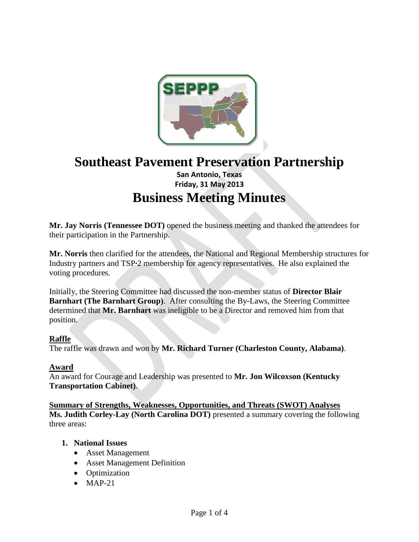

# **Southeast Pavement Preservation Partnership San Antonio, Texas Friday, 31 May 2013 Business Meeting Minutes**

**Mr. Jay Norris (Tennessee DOT)** opened the business meeting and thanked the attendees for their participation in the Partnership.

**Mr. Norris** then clarified for the attendees, the National and Regional Membership structures for Industry partners and TSP**∙**2 membership for agency representatives. He also explained the voting procedures.

Initially, the Steering Committee had discussed the non-member status of **Director Blair Barnhart (The Barnhart Group)**. After consulting the By-Laws, the Steering Committee determined that **Mr. Barnhart** was ineligible to be a Director and removed him from that position.

# **Raffle**

The raffle was drawn and won by **Mr. Richard Turner (Charleston County, Alabama)**.

# **Award**

An award for Courage and Leadership was presented to **Mr. Jon Wilcoxson (Kentucky Transportation Cabinet)**.

# **Summary of Strengths, Weaknesses, Opportunities, and Threats (SWOT) Analyses**

**Ms. Judith Corley-Lay (North Carolina DOT)** presented a summary covering the following three areas:

# **1. National Issues**

- Asset Management
- Asset Management Definition
- Optimization
- $-MAP-21$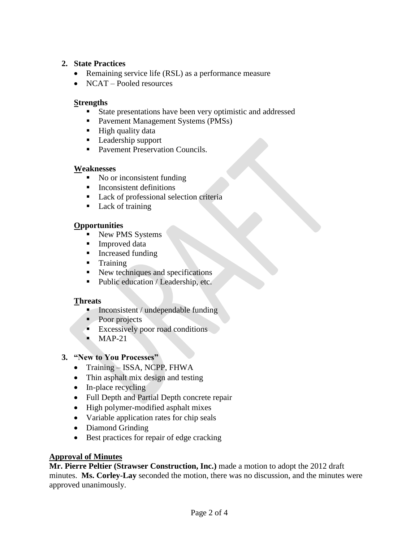# **2. State Practices**

- Remaining service life (RSL) as a performance measure
- NCAT Pooled resources

# **Strengths**

- State presentations have been very optimistic and addressed
- Pavement Management Systems (PMSs)
- $\blacksquare$  High quality data
- **Leadership support**
- Pavement Preservation Councils.

# **Weaknesses**

- No or inconsistent funding
- $\blacksquare$  Inconsistent definitions
- Lack of professional selection criteria
- Lack of training

# **Opportunities**

- New PMS Systems
- **Improved data**
- Increased funding
- **Training**
- $\blacksquare$  New techniques and specifications
- Public education / Leadership, etc.

# **Threats**

- $\blacksquare$  Inconsistent / undependable funding
- Poor projects
- **Excessively poor road conditions**
- $MAP-21$
- **3. "New to You Processes"**
	- Training ISSA, NCPP, FHWA
	- Thin asphalt mix design and testing
	- In-place recycling
	- Full Depth and Partial Depth concrete repair
	- High polymer-modified asphalt mixes
	- Variable application rates for chip seals
	- Diamond Grinding
	- Best practices for repair of edge cracking

# **Approval of Minutes**

**Mr. Pierre Peltier (Strawser Construction, Inc.)** made a motion to adopt the 2012 draft minutes. **Ms. Corley-Lay** seconded the motion, there was no discussion, and the minutes were approved unanimously.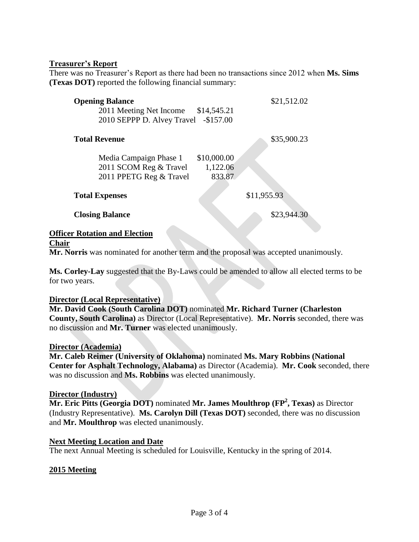#### **Treasurer's Report**

There was no Treasurer's Report as there had been no transactions since 2012 when **Ms. Sims (Texas DOT)** reported the following financial summary:

| <b>Opening Balance</b><br>2011 Meeting Net Income \$14,545.21<br>2010 SEPPP D. Alvey Travel -\$157.00 | \$21,512.02 |
|-------------------------------------------------------------------------------------------------------|-------------|
| <b>Total Revenue</b>                                                                                  | \$35,900.23 |

| Media Campaign Phase 1  | \$10,000.00 |
|-------------------------|-------------|
| 2011 SCOM Reg & Travel  | 1,122.06    |
| 2011 PPETG Reg & Travel | 833.87      |

#### **Total Expenses** \$11,955.93

**Closing Balance** \$23,944.30

#### **Officer Rotation and Election**

**Chair**

**Mr. Norris** was nominated for another term and the proposal was accepted unanimously.

**Ms. Corley-Lay** suggested that the By-Laws could be amended to allow all elected terms to be for two years.

#### **Director (Local Representative)**

**Mr. David Cook (South Carolina DOT)** nominated **Mr. Richard Turner (Charleston County, South Carolina)** as Director (Local Representative). **Mr. Norris** seconded, there was no discussion and **Mr. Turner** was elected unanimously.

#### **Director (Academia)**

**Mr. Caleb Reimer (University of Oklahoma)** nominated **Ms. Mary Robbins (National Center for Asphalt Technology, Alabama)** as Director (Academia). **Mr. Cook** seconded, there was no discussion and **Ms. Robbins** was elected unanimously.

#### **Director (Industry)**

**Mr. Eric Pitts (Georgia DOT)** nominated **Mr. James Moulthrop (FP<sup>2</sup> , Texas)** as Director (Industry Representative). **Ms. Carolyn Dill (Texas DOT)** seconded, there was no discussion and **Mr. Moulthrop** was elected unanimously.

# **Next Meeting Location and Date**

The next Annual Meeting is scheduled for Louisville, Kentucky in the spring of 2014.

# **2015 Meeting**